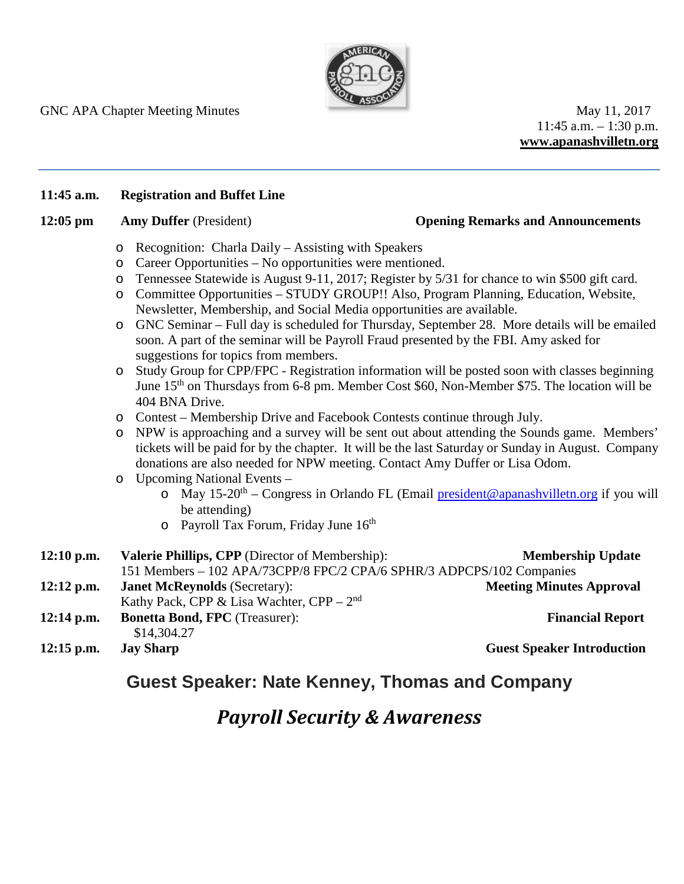

GNC APA Chapter Meeting Minutes May 11, 2017

11:45 a.m. – 1:30 p.m. **www.apanashvilletn.org**

## **11:45 a.m. Registration and Buffet Line**

## **12:05 pm Amy Duffer** (President) **Opening Remarks and Announcements**

- o Recognition: Charla Daily Assisting with Speakers
- o Career Opportunities No opportunities were mentioned.
- o Tennessee Statewide is August 9-11, 2017; Register by 5/31 for chance to win \$500 gift card.
- o Committee Opportunities STUDY GROUP!! Also, Program Planning, Education, Website, Newsletter, Membership, and Social Media opportunities are available.
- o GNC Seminar Full day is scheduled for Thursday, September 28. More details will be emailed soon. A part of the seminar will be Payroll Fraud presented by the FBI. Amy asked for suggestions for topics from members.
- o Study Group for CPP/FPC Registration information will be posted soon with classes beginning June 15<sup>th</sup> on Thursdays from 6-8 pm. Member Cost \$60, Non-Member \$75. The location will be 404 BNA Drive.
- o Contest Membership Drive and Facebook Contests continue through July.
- o NPW is approaching and a survey will be sent out about attending the Sounds game. Members' tickets will be paid for by the chapter. It will be the last Saturday or Sunday in August. Company donations are also needed for NPW meeting. Contact Amy Duffer or Lisa Odom.
- o Upcoming National Events
	- o May 15-20<sup>th</sup> Congress in Orlando FL (Email [president@apanashvilletn.org](mailto:president@apanashvilletn.org) if you will be attending)
	- $\circ$  Payroll Tax Forum, Friday June 16<sup>th</sup>

| $12:10$ p.m. | <b>Valerie Phillips, CPP</b> (Director of Membership):                | <b>Membership Update</b>          |
|--------------|-----------------------------------------------------------------------|-----------------------------------|
|              | 151 Members - 102 APA/73CPP/8 FPC/2 CPA/6 SPHR/3 ADPCPS/102 Companies |                                   |
| $12:12$ p.m. | <b>Janet McReynolds (Secretary):</b>                                  | <b>Meeting Minutes Approval</b>   |
|              | Kathy Pack, CPP & Lisa Wachter, CPP – $2nd$                           |                                   |
| $12:14$ p.m. | <b>Bonetta Bond, FPC</b> (Treasurer):<br>\$14,304.27                  | <b>Financial Report</b>           |
| $12:15$ p.m. | <b>Jay Sharp</b>                                                      | <b>Guest Speaker Introduction</b> |

## **Guest Speaker: Nate Kenney, Thomas and Company**

# *Payroll Security & Awareness*